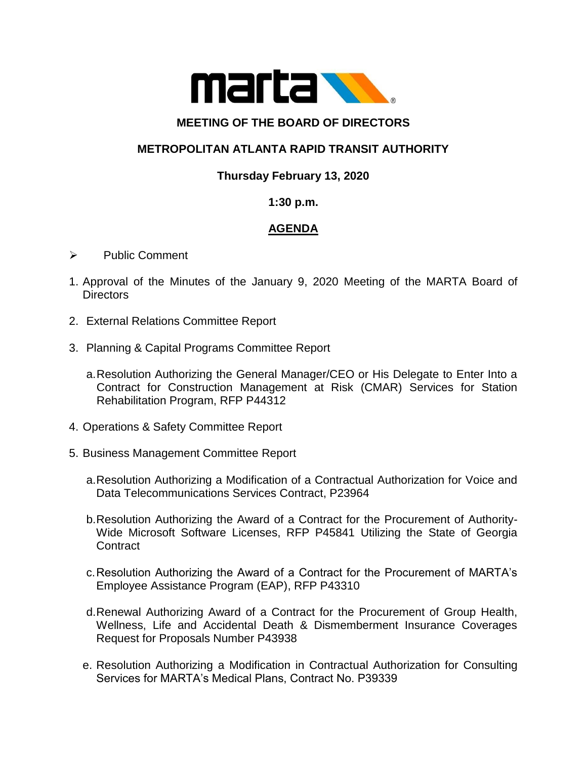

### **MEETING OF THE BOARD OF DIRECTORS**

# **METROPOLITAN ATLANTA RAPID TRANSIT AUTHORITY**

# **Thursday February 13, 2020**

### **1:30 p.m.**

# **AGENDA**

- ➢ Public Comment
- 1. Approval of the Minutes of the January 9, 2020 Meeting of the MARTA Board of **Directors**
- 2. External Relations Committee Report
- 3. Planning & Capital Programs Committee Report
	- a.Resolution Authorizing the General Manager/CEO or His Delegate to Enter Into a Contract for Construction Management at Risk (CMAR) Services for Station Rehabilitation Program, RFP P44312
- 4. Operations & Safety Committee Report
- 5. Business Management Committee Report
	- a.Resolution Authorizing a Modification of a Contractual Authorization for Voice and Data Telecommunications Services Contract, P23964
	- b.Resolution Authorizing the Award of a Contract for the Procurement of Authority-Wide Microsoft Software Licenses, RFP P45841 Utilizing the State of Georgia **Contract**
	- c.Resolution Authorizing the Award of a Contract for the Procurement of MARTA's Employee Assistance Program (EAP), RFP P43310
	- d.Renewal Authorizing Award of a Contract for the Procurement of Group Health, Wellness, Life and Accidental Death & Dismemberment Insurance Coverages Request for Proposals Number P43938
	- e. Resolution Authorizing a Modification in Contractual Authorization for Consulting Services for MARTA's Medical Plans, Contract No. P39339